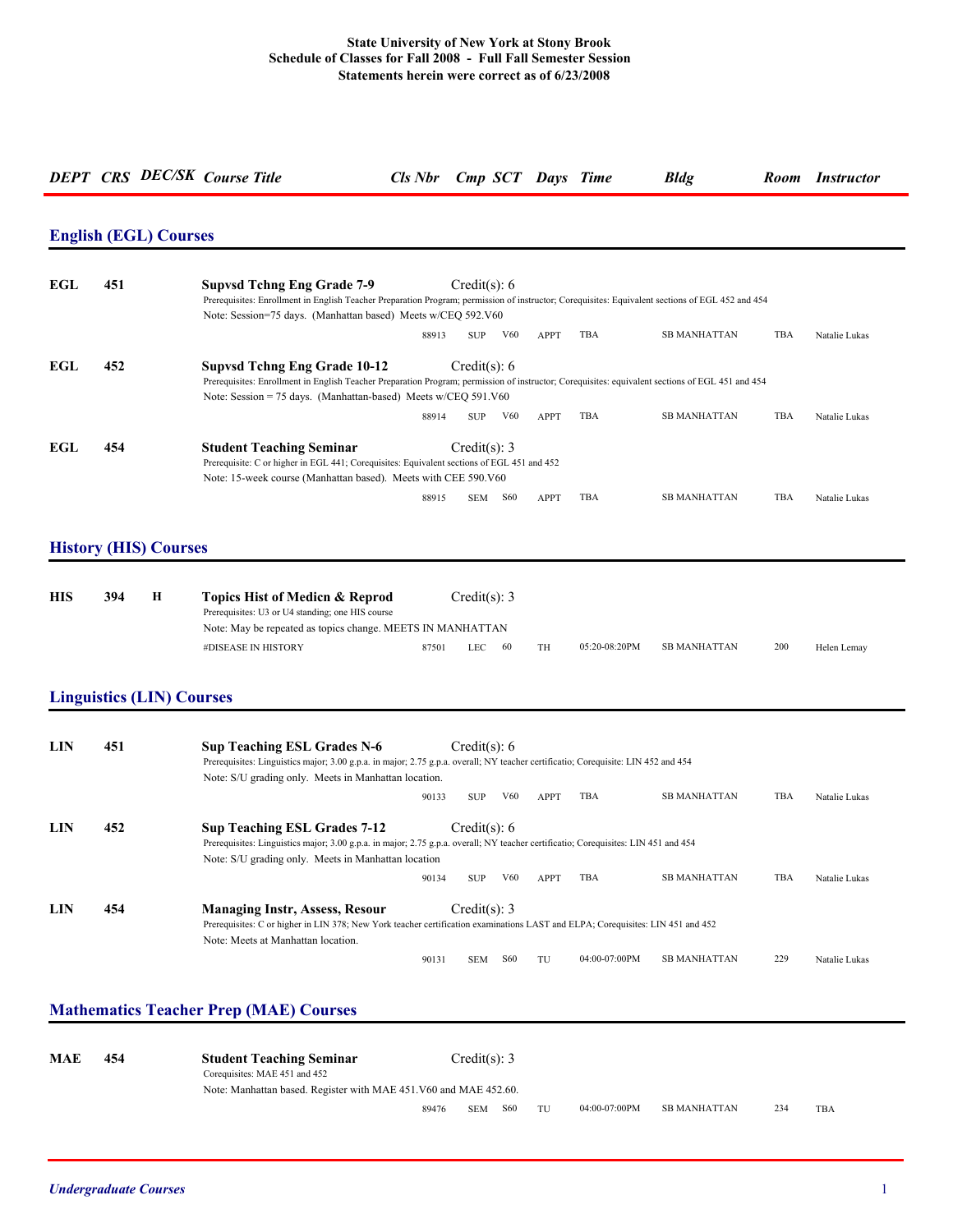# *DEPT CRS DEC/SK Course Title Cls Nbr Cmp SCT Days Time Bldg Room Instructor*

### **English (EGL) Courses**

| EGL          | 451 | Credit(s): $6$<br><b>Supvsd Tchng Eng Grade 7-9</b><br>Prerequisites: Enrollment in English Teacher Preparation Program; permission of instructor; Corequisites: Equivalent sections of EGL 452 and 454<br>Note: Session=75 days. (Manhattan based) Meets w/CEO 592.V60       |  |  |  |  |  |  |  |  |  |  |
|--------------|-----|-------------------------------------------------------------------------------------------------------------------------------------------------------------------------------------------------------------------------------------------------------------------------------|--|--|--|--|--|--|--|--|--|--|
|              |     | <b>TBA</b><br>TBA<br><b>SB MANHATTAN</b><br>V60<br><b>APPT</b><br><b>SUP</b><br>88913<br>Natalie Lukas                                                                                                                                                                        |  |  |  |  |  |  |  |  |  |  |
| $_{\rm EGL}$ | 452 | <b>Supvsd Tchng Eng Grade 10-12</b><br>Credit(s): $6$<br>Prerequisites: Enrollment in English Teacher Preparation Program; permission of instructor; Corequisites: equivalent sections of EGL 451 and 454<br>Note: Session = 75 days. (Manhattan-based) Meets $w/CEQ$ 591.V60 |  |  |  |  |  |  |  |  |  |  |
|              |     | <b>TBA</b><br><b>TBA</b><br><b>SB MANHATTAN</b><br>V60<br>88914<br><b>SUP</b><br><b>APPT</b><br>Natalie Lukas                                                                                                                                                                 |  |  |  |  |  |  |  |  |  |  |
| $_{\rm EGL}$ | 454 | Credit(s): 3<br><b>Student Teaching Seminar</b><br>Prerequisite: C or higher in EGL 441; Corequisites: Equivalent sections of EGL 451 and 452<br>Note: 15-week course (Manhattan based). Meets with CEE 590.V60                                                               |  |  |  |  |  |  |  |  |  |  |
|              |     | TBA<br><b>SB MANHATTAN</b><br>S60<br><b>SEM</b><br><b>APPT</b><br>TBA<br>88915<br>Natalie Lukas                                                                                                                                                                               |  |  |  |  |  |  |  |  |  |  |

### **History (HIS) Courses**

| <b>HIS</b> | 394 | Topics Hist of Medicn & Reprod<br>Prerequisites: U3 or U4 standing; one HIS course |       | $Credit(s)$ : 3 |      |           |               |              |     |             |  |
|------------|-----|------------------------------------------------------------------------------------|-------|-----------------|------|-----------|---------------|--------------|-----|-------------|--|
|            |     | Note: May be repeated as topics change. MEETS IN MANHATTAN                         |       |                 |      |           |               |              |     |             |  |
|            |     | #DISEASE IN HISTORY                                                                | 87501 | LEC             | - 60 | <b>TH</b> | 05:20-08:20PM | SB MANHATTAN | 200 | Helen Lemay |  |

#### **Linguistics (LIN) Courses**

| LIN        | 451 | Credit(s): $6$<br><b>Sup Teaching ESL Grades N-6</b><br>Prerequisites: Linguistics major; 3.00 g.p.a. in major; 2.75 g.p.a. overall; NY teacher certificatio; Corequisite: LIN 452 and 454<br>Note: S/U grading only. Meets in Manhattan location.  |  |  |  |  |  |  |  |  |  |  |
|------------|-----|-----------------------------------------------------------------------------------------------------------------------------------------------------------------------------------------------------------------------------------------------------|--|--|--|--|--|--|--|--|--|--|
|            |     | <b>SB MANHATTAN</b><br>TBA<br>TBA<br>V60<br>90133<br><b>SUP</b><br>APPT<br>Natalie Lukas                                                                                                                                                            |  |  |  |  |  |  |  |  |  |  |
| LIN        | 452 | Credit(s): $6$<br><b>Sup Teaching ESL Grades 7-12</b><br>Prerequisites: Linguistics major; 3.00 g.p.a. in major; 2.75 g.p.a. overall; NY teacher certificatio; Corequisites: LIN 451 and 454<br>Note: S/U grading only. Meets in Manhattan location |  |  |  |  |  |  |  |  |  |  |
|            |     | <b>TBA</b><br><b>SB MANHATTAN</b><br>TBA<br>V60<br>90134<br><b>SUP</b><br><b>APPT</b><br>Natalie Lukas                                                                                                                                              |  |  |  |  |  |  |  |  |  |  |
| <b>LIN</b> | 454 | Credit(s): 3<br><b>Managing Instr, Assess, Resour</b><br>Prerequisites: C or higher in LIN 378; New York teacher certification examinations LAST and ELPA; Corequisites: LIN 451 and 452<br>Note: Meets at Manhattan location.                      |  |  |  |  |  |  |  |  |  |  |
|            |     | 229<br><b>S60</b><br>04:00-07:00PM<br><b>SB MANHATTAN</b><br>TU<br>Natalie Lukas<br>90131<br><b>SEM</b>                                                                                                                                             |  |  |  |  |  |  |  |  |  |  |

### **Mathematics Teacher Prep (MAE) Courses**

| <b>MAE</b> | 454 | <b>Student Teaching Seminar</b><br>Corequisites: MAE 451 and 452 |       | Credit(s): 3 |    |               |              |     |            |
|------------|-----|------------------------------------------------------------------|-------|--------------|----|---------------|--------------|-----|------------|
|            |     | Note: Manhattan based. Register with MAE 451.V60 and MAE 452.60. |       |              |    |               |              |     |            |
|            |     |                                                                  | 89476 | SEM S60      | TU | 04:00-07:00PM | SB MANHATTAN | 234 | <b>TBA</b> |